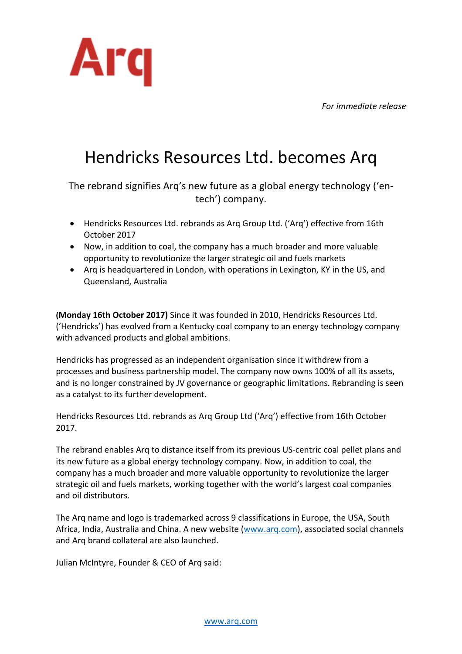*For immediate release*



## Hendricks Resources Ltd. becomes Arq

The rebrand signifies Arq's new future as a global energy technology ('entech') company.

- Hendricks Resources Ltd. rebrands as Arq Group Ltd. ('Arq') effective from 16th October 2017
- Now, in addition to coal, the company has a much broader and more valuable opportunity to revolutionize the larger strategic oil and fuels markets
- Arq is headquartered in London, with operations in Lexington, KY in the US, and Queensland, Australia

**(Monday 16th October 2017)** Since it was founded in 2010, Hendricks Resources Ltd. ('Hendricks') has evolved from a Kentucky coal company to an energy technology company with advanced products and global ambitions.

Hendricks has progressed as an independent organisation since it withdrew from a processes and business partnership model. The company now owns 100% of all its assets, and is no longer constrained by JV governance or geographic limitations. Rebranding is seen as a catalyst to its further development.

Hendricks Resources Ltd. rebrands as Arq Group Ltd ('Arq') effective from 16th October 2017.

The rebrand enables Arq to distance itself from its previous US-centric coal pellet plans and its new future as a global energy technology company. Now, in addition to coal, the company has a much broader and more valuable opportunity to revolutionize the larger strategic oil and fuels markets, working together with the world's largest coal companies and oil distributors.

The Arg name and logo is trademarked across 9 classifications in Europe, the USA, South Africa, India, Australia and China. A new website (www.arq.com), associated social channels and Arg brand collateral are also launched.

Julian McIntyre, Founder & CEO of Arq said: